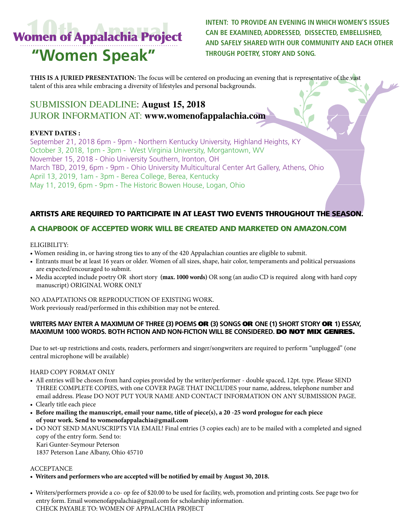# Women of Appalachia Project **"Women Speak"**

**INTENT: TO PROVIDE AN EVENING IN WHICH WOMEN'S ISSUES CAN BE EXAMINED, ADDRESSED, DISSECTED, EMBELLISHED, AND SAFELY SHARED WITH OUR COMMUNITY AND EACH OTHER THROUGH POETRY, STORY AND SONG.**

 $\frac{1}{2}$ 

**THIS IS A JURIED PRESENTATION:** The focus will be centered on producing an evening that is representative of the vast talent of this area while embracing a diversity of lifestyles and personal backgrounds.

# SUBMISSION DEADLINE: **August 15, 2018**  JUROR INFORMATION AT: **www.womenofappalachia.com**

#### **EVENT DATES :**

September 21, 2018 6pm - 9pm - Northern Kentucky University, Highland Heights, KY October 3, 2018, 1pm - 3pm - West Virginia University, Morgantown, WV November 15, 2018 - Ohio University Southern, Ironton, OH March TBD, 2019, 6pm - 9pm - Ohio University Multicultural Center Art Gallery, Athens, Ohio April 13, 2019, 1am - 3pm - Berea College, Berea, Kentucky May 11, 2019, 6pm - 9pm - The Historic Bowen House, Logan, Ohio

## ARTISTS ARE REQUIRED TO PARTICIPATE IN AT LEAST TWO EVENTS THROUGHOUT THE SEASON.

### A CHAPBOOK OF ACCEPTED WORK WILL BE CREATED AND MARKETED ON AMAZON.COM

#### ELIGIBILITY:

- Women residing in, or having strong ties to any of the 420 Appalachian counties are eligible to submit.
- Entrants must be at least 16 years or older. Women of all sizes, shape, hair color, temperaments and political persuasions are expected/encouraged to submit.
- Media accepted include poetry OR short story **(max. 1000 words)** OR song (an audio CD is required along with hard copy manuscript) ORIGINAL WORK ONLY

NO ADAPTATIONS OR REPRODUCTION OF EXISTING WORK. Work previously read/performed in this exhibition may not be entered.

#### **WRITERS MAY ENTER A MAXIMUM OF THREE (3) POEMS** OR **(3) SONGS** OR **ONE (1) SHORT STORY** OR **1) ESSAY, MAXIMUM 1000 WORDS. BOTH FICTION AND NON-FICTION WILL BE CONSIDERED.** DO NOT MIX GENRES.

Due to set-up restrictions and costs, readers, performers and singer/songwriters are required to perform "unplugged" (one central microphone will be available)

#### HARD COPY FORMAT ONLY

- All entries will be chosen from hard copies provided by the writer/performer double spaced, 12pt. type. Please SEND THREE COMPLETE COPIES, with one COVER PAGE THAT INCLUDES your name, address, telephone number and email address. Please DO NOT PUT YOUR NAME AND CONTACT INFORMATION ON ANY SUBMISSION PAGE.
- Clearly title each piece
- **Before mailing the manuscript, email your name, title of piece(s), a 20 -25 word prologue for each piece of your work. Send to womenofappalachia@gmail.com**
- DO NOT SEND MANUSCRIPTS VIA EMAIL! Final entries (3 copies each) are to be mailed with a completed and signed copy of the entry form. Send to: Kari Gunter-Seymour Peterson

1837 Peterson Lane Albany, Ohio 45710

#### **ACCEPTANCE**

- **Writers and performers who are accepted will be notified by email by August 30, 2018.**
- Writers/performers provide a co- op fee of \$20.00 to be used for facility, web, promotion and printing costs. See page two for entry form. Email womenofappalachia@gmail.com for scholarship information. CHECK PAYABLE TO: WOMEN OF APPALACHIA PROJECT